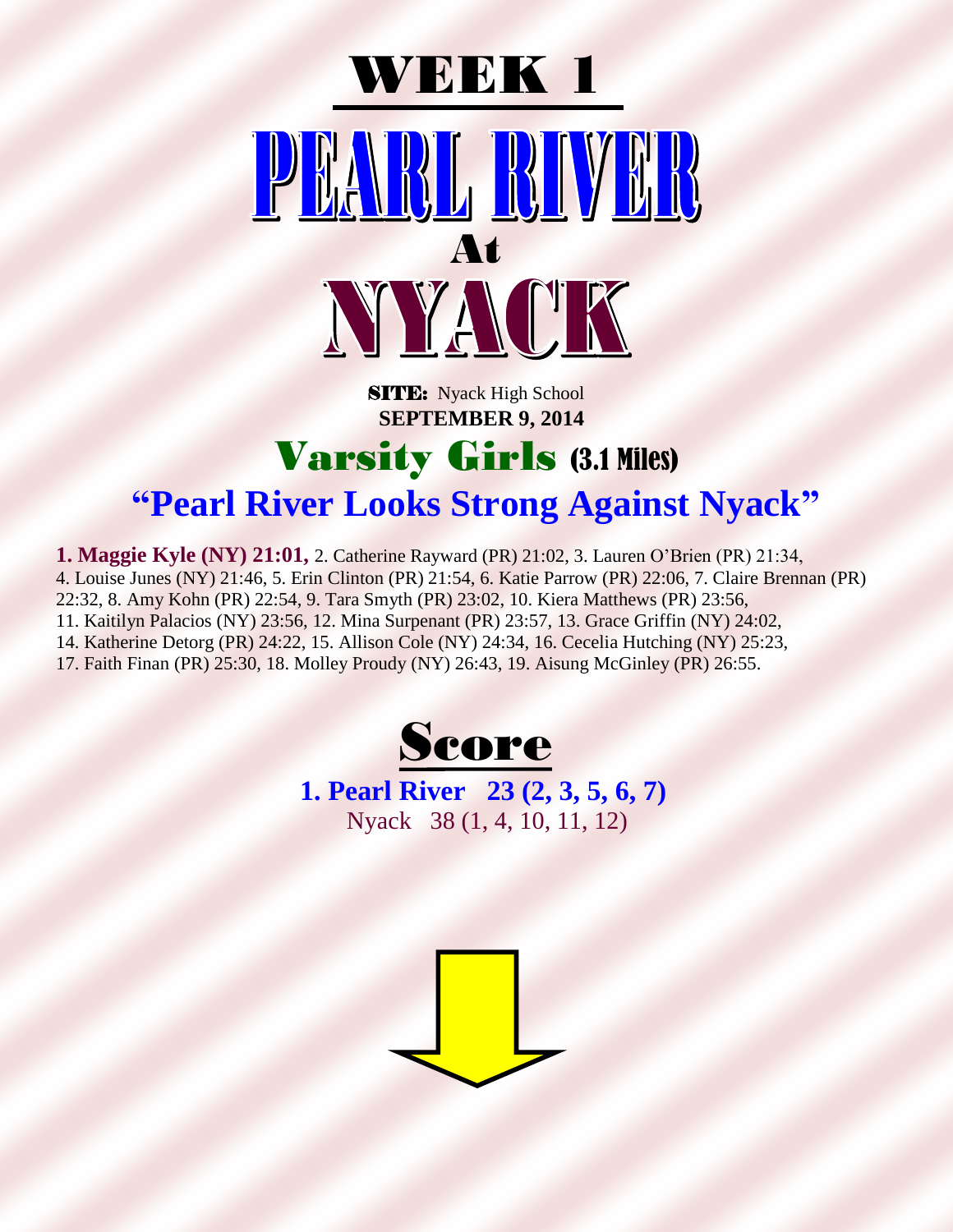

**SITE:** Nyack High School  **SEPTEMBER 9, 2014**

#### Varsity Girls (3.1 Miles) **"Pearl River Looks Strong Against Nyack"**

**1. Maggie Kyle (NY) 21:01,** 2. Catherine Rayward (PR) 21:02, 3. Lauren O'Brien (PR) 21:34, 4. Louise Junes (NY) 21:46, 5. Erin Clinton (PR) 21:54, 6. Katie Parrow (PR) 22:06, 7. Claire Brennan (PR) 22:32, 8. Amy Kohn (PR) 22:54, 9. Tara Smyth (PR) 23:02, 10. Kiera Matthews (PR) 23:56, 11. Kaitilyn Palacios (NY) 23:56, 12. Mina Surpenant (PR) 23:57, 13. Grace Griffin (NY) 24:02, 14. Katherine Detorg (PR) 24:22, 15. Allison Cole (NY) 24:34, 16. Cecelia Hutching (NY) 25:23, 17. Faith Finan (PR) 25:30, 18. Molley Proudy (NY) 26:43, 19. Aisung McGinley (PR) 26:55.



**1. Pearl River 23 (2, 3, 5, 6, 7)** Nyack 38 (1, 4, 10, 11, 12)

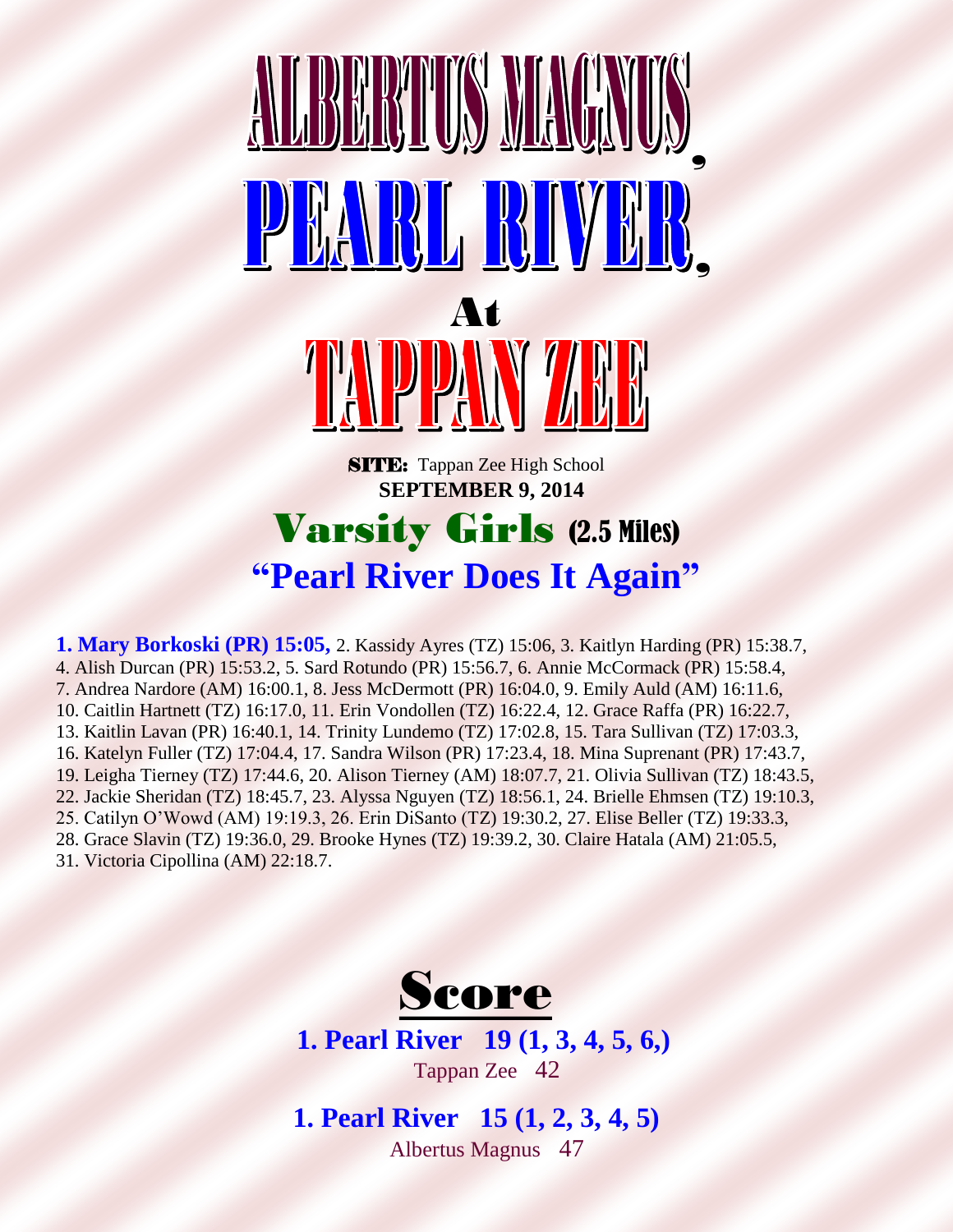

## Varsity Girls (2.5 Miles) **"Pearl River Does It Again"**

**1. Mary Borkoski (PR) 15:05,** 2. Kassidy Ayres (TZ) 15:06, 3. Kaitlyn Harding (PR) 15:38.7, 4. Alish Durcan (PR) 15:53.2, 5. Sard Rotundo (PR) 15:56.7, 6. Annie McCormack (PR) 15:58.4, 7. Andrea Nardore (AM) 16:00.1, 8. Jess McDermott (PR) 16:04.0, 9. Emily Auld (AM) 16:11.6, 10. Caitlin Hartnett (TZ) 16:17.0, 11. Erin Vondollen (TZ) 16:22.4, 12. Grace Raffa (PR) 16:22.7, 13. Kaitlin Lavan (PR) 16:40.1, 14. Trinity Lundemo (TZ) 17:02.8, 15. Tara Sullivan (TZ) 17:03.3, 16. Katelyn Fuller (TZ) 17:04.4, 17. Sandra Wilson (PR) 17:23.4, 18. Mina Suprenant (PR) 17:43.7, 19. Leigha Tierney (TZ) 17:44.6, 20. Alison Tierney (AM) 18:07.7, 21. Olivia Sullivan (TZ) 18:43.5, 22. Jackie Sheridan (TZ) 18:45.7, 23. Alyssa Nguyen (TZ) 18:56.1, 24. Brielle Ehmsen (TZ) 19:10.3, 25. Catilyn O'Wowd (AM) 19:19.3, 26. Erin DiSanto (TZ) 19:30.2, 27. Elise Beller (TZ) 19:33.3, 28. Grace Slavin (TZ) 19:36.0, 29. Brooke Hynes (TZ) 19:39.2, 30. Claire Hatala (AM) 21:05.5, 31. Victoria Cipollina (AM) 22:18.7.



**1. Pearl River 19 (1, 3, 4, 5, 6,)** Tappan Zee 42

**1. Pearl River 15 (1, 2, 3, 4, 5)** Albertus Magnus 47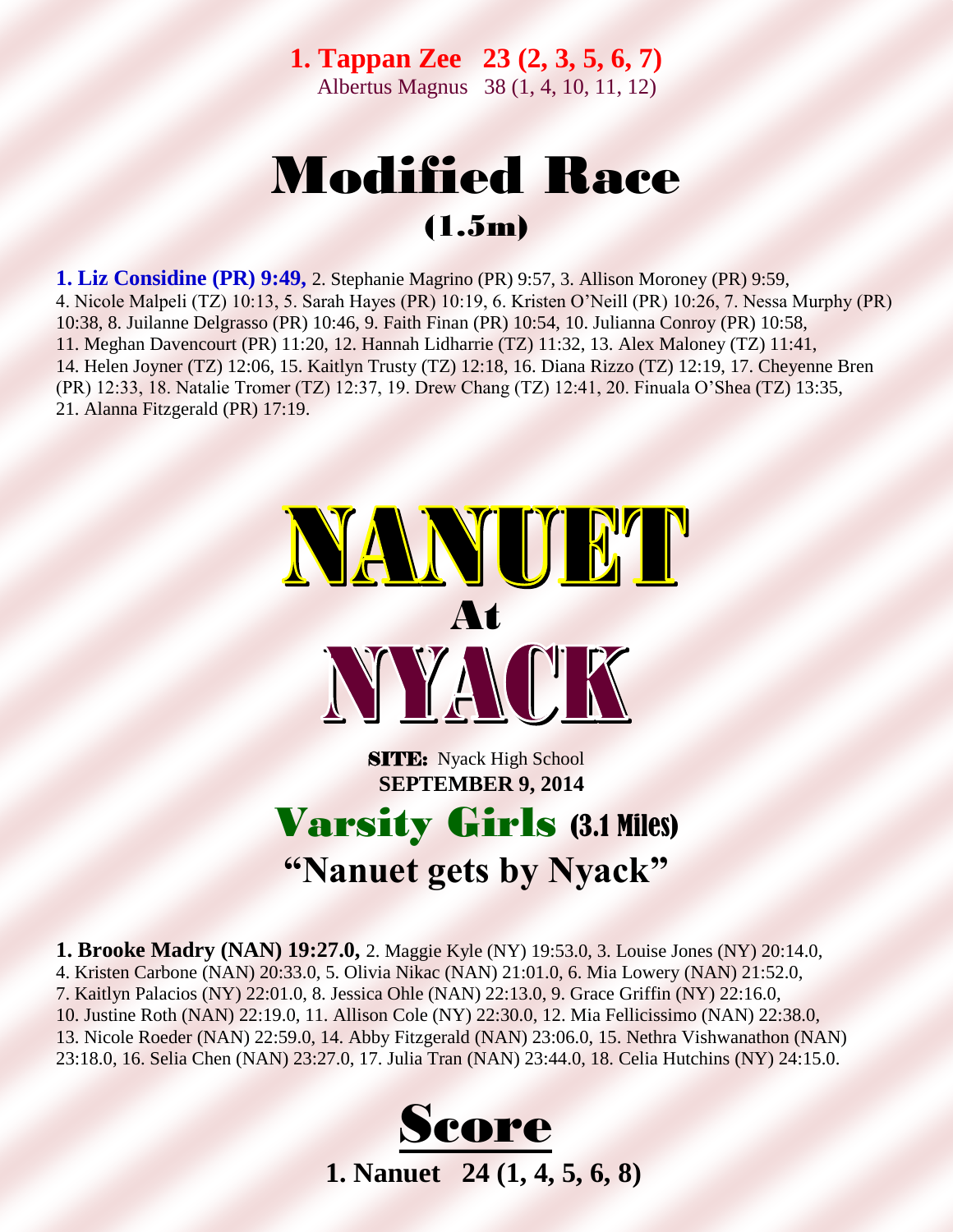**1. Tappan Zee 23 (2, 3, 5, 6, 7)** Albertus Magnus 38 (1, 4, 10, 11, 12)

### Modified Race (1.5m)

**1. Liz Considine (PR) 9:49,** 2. Stephanie Magrino (PR) 9:57, 3. Allison Moroney (PR) 9:59, 4. Nicole Malpeli (TZ) 10:13, 5. Sarah Hayes (PR) 10:19, 6. Kristen O'Neill (PR) 10:26, 7. Nessa Murphy (PR) 10:38, 8. Juilanne Delgrasso (PR) 10:46, 9. Faith Finan (PR) 10:54, 10. Julianna Conroy (PR) 10:58, 11. Meghan Davencourt (PR) 11:20, 12. Hannah Lidharrie (TZ) 11:32, 13. Alex Maloney (TZ) 11:41, 14. Helen Joyner (TZ) 12:06, 15. Kaitlyn Trusty (TZ) 12:18, 16. Diana Rizzo (TZ) 12:19, 17. Cheyenne Bren (PR) 12:33, 18. Natalie Tromer (TZ) 12:37, 19. Drew Chang (TZ) 12:41, 20. Finuala O'Shea (TZ) 13:35, 21. Alanna Fitzgerald (PR) 17:19.



**SITE:** Nyack High School  **SEPTEMBER 9, 2014**

#### Varsity Girls (3.1 Miles) **"Nanuet gets by Nyack"**

**1. Brooke Madry (NAN) 19:27.0,** 2. Maggie Kyle (NY) 19:53.0, 3. Louise Jones (NY) 20:14.0, 4. Kristen Carbone (NAN) 20:33.0, 5. Olivia Nikac (NAN) 21:01.0, 6. Mia Lowery (NAN) 21:52.0, 7. Kaitlyn Palacios (NY) 22:01.0, 8. Jessica Ohle (NAN) 22:13.0, 9. Grace Griffin (NY) 22:16.0, 10. Justine Roth (NAN) 22:19.0, 11. Allison Cole (NY) 22:30.0, 12. Mia Fellicissimo (NAN) 22:38.0, 13. Nicole Roeder (NAN) 22:59.0, 14. Abby Fitzgerald (NAN) 23:06.0, 15. Nethra Vishwanathon (NAN) 23:18.0, 16. Selia Chen (NAN) 23:27.0, 17. Julia Tran (NAN) 23:44.0, 18. Celia Hutchins (NY) 24:15.0.

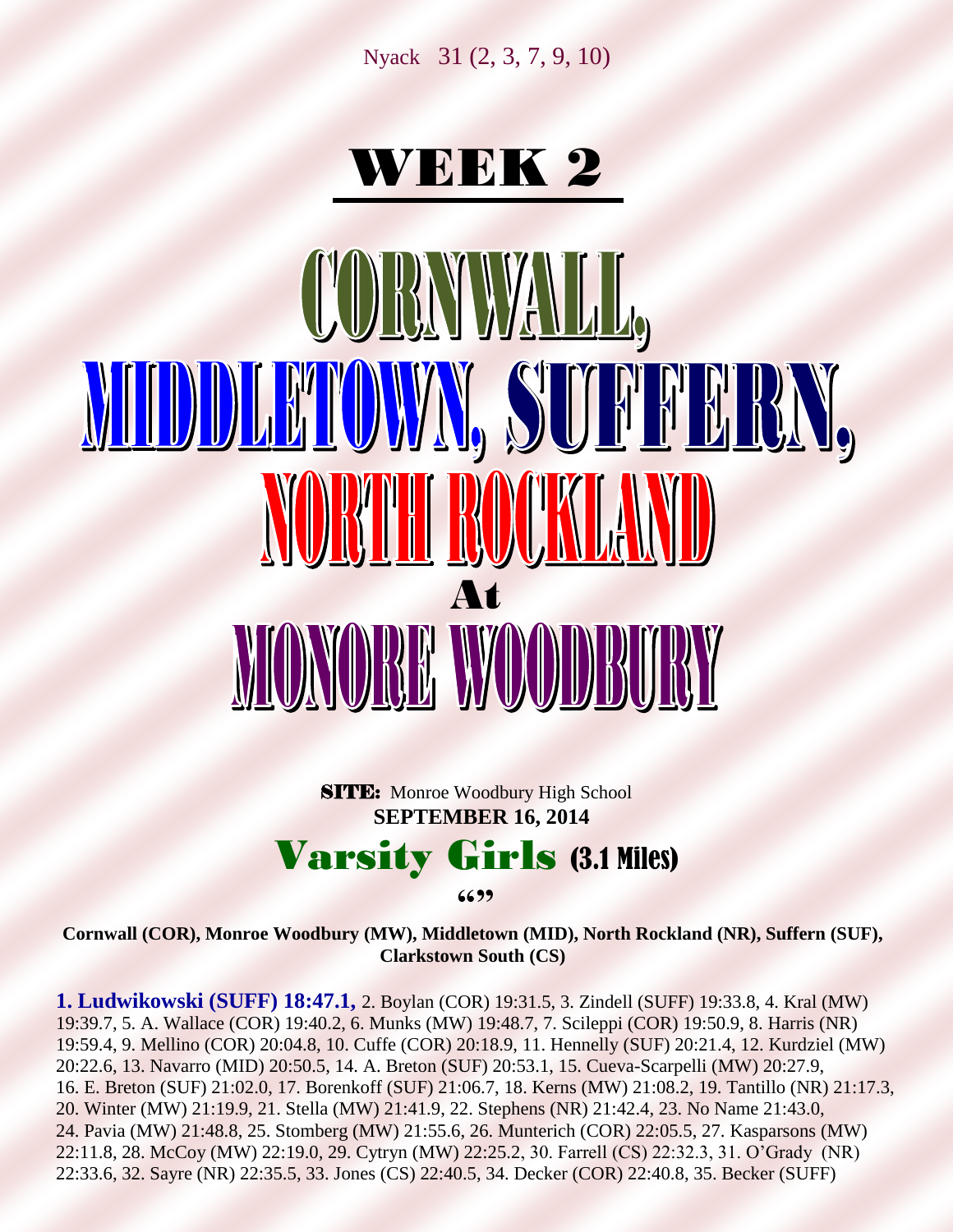Nyack 31 (2, 3, 7, 9, 10)

## WEEK 2

# CORNWALL, MIDDLAMOWYN, SUFFFFRY, NORTH ROUKLAN At MONORE WOODBURY

**SITE:** Monroe Woodbury High School  **SEPTEMBER 16, 2014**

#### Varsity Girls (3.1 Miles)

**6699** 

**Cornwall (COR), Monroe Woodbury (MW), Middletown (MID), North Rockland (NR), Suffern (SUF), Clarkstown South (CS)**

**1. Ludwikowski (SUFF) 18:47.1,** 2. Boylan (COR) 19:31.5, 3. Zindell (SUFF) 19:33.8, 4. Kral (MW) 19:39.7, 5. A. Wallace (COR) 19:40.2, 6. Munks (MW) 19:48.7, 7. Scileppi (COR) 19:50.9, 8. Harris (NR) 19:59.4, 9. Mellino (COR) 20:04.8, 10. Cuffe (COR) 20:18.9, 11. Hennelly (SUF) 20:21.4, 12. Kurdziel (MW) 20:22.6, 13. Navarro (MID) 20:50.5, 14. A. Breton (SUF) 20:53.1, 15. Cueva-Scarpelli (MW) 20:27.9, 16. E. Breton (SUF) 21:02.0, 17. Borenkoff (SUF) 21:06.7, 18. Kerns (MW) 21:08.2, 19. Tantillo (NR) 21:17.3, 20. Winter (MW) 21:19.9, 21. Stella (MW) 21:41.9, 22. Stephens (NR) 21:42.4, 23. No Name 21:43.0, 24. Pavia (MW) 21:48.8, 25. Stomberg (MW) 21:55.6, 26. Munterich (COR) 22:05.5, 27. Kasparsons (MW) 22:11.8, 28. McCoy (MW) 22:19.0, 29. Cytryn (MW) 22:25.2, 30. Farrell (CS) 22:32.3, 31. O'Grady (NR) 22:33.6, 32. Sayre (NR) 22:35.5, 33. Jones (CS) 22:40.5, 34. Decker (COR) 22:40.8, 35. Becker (SUFF)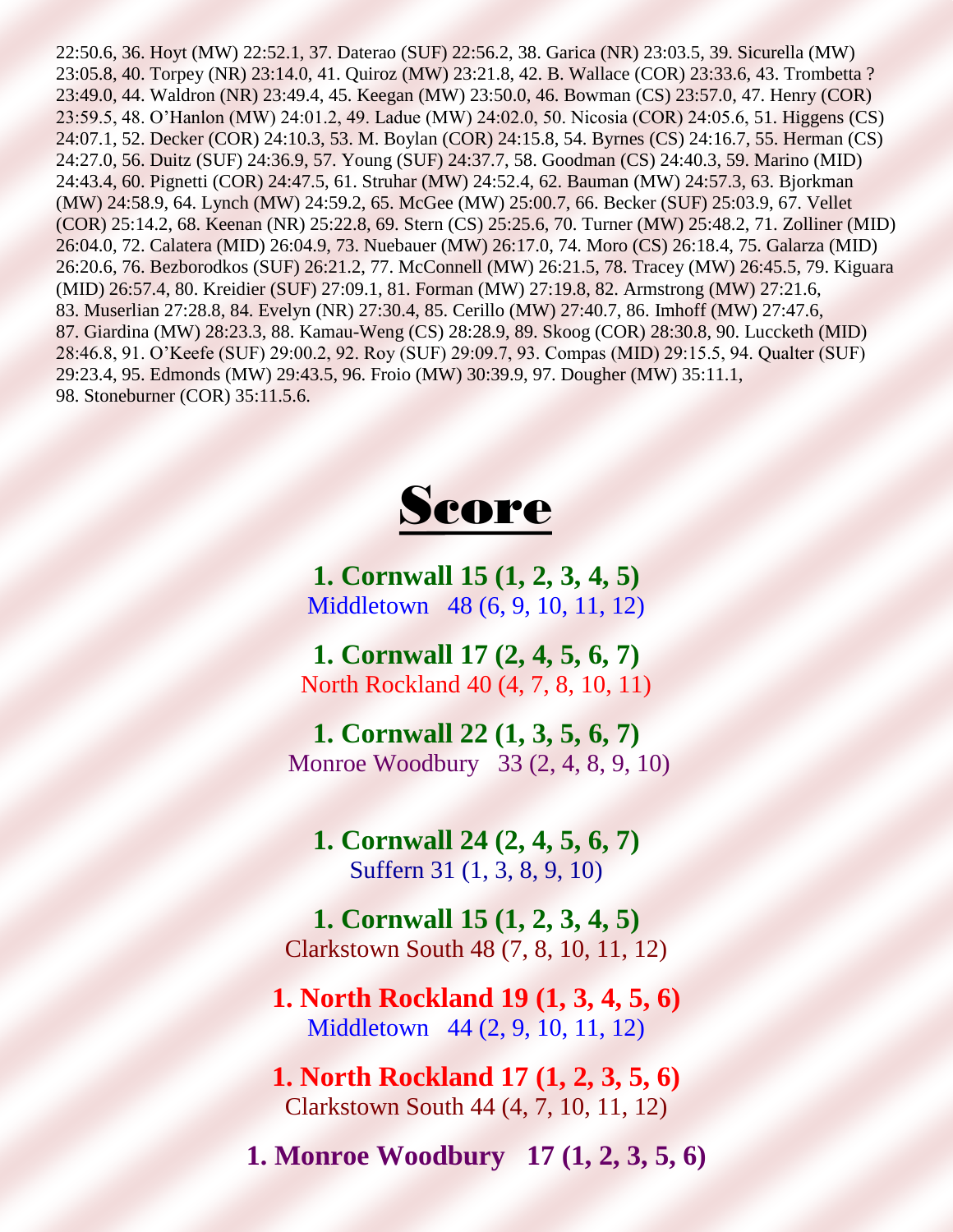22:50.6, 36. Hoyt (MW) 22:52.1, 37. Daterao (SUF) 22:56.2, 38. Garica (NR) 23:03.5, 39. Sicurella (MW) 23:05.8, 40. Torpey (NR) 23:14.0, 41. Quiroz (MW) 23:21.8, 42. B. Wallace (COR) 23:33.6, 43. Trombetta ? 23:49.0, 44. Waldron (NR) 23:49.4, 45. Keegan (MW) 23:50.0, 46. Bowman (CS) 23:57.0, 47. Henry (COR) 23:59.5, 48. O'Hanlon (MW) 24:01.2, 49. Ladue (MW) 24:02.0, 50. Nicosia (COR) 24:05.6, 51. Higgens (CS) 24:07.1, 52. Decker (COR) 24:10.3, 53. M. Boylan (COR) 24:15.8, 54. Byrnes (CS) 24:16.7, 55. Herman (CS) 24:27.0, 56. Duitz (SUF) 24:36.9, 57. Young (SUF) 24:37.7, 58. Goodman (CS) 24:40.3, 59. Marino (MID) 24:43.4, 60. Pignetti (COR) 24:47.5, 61. Struhar (MW) 24:52.4, 62. Bauman (MW) 24:57.3, 63. Bjorkman (MW) 24:58.9, 64. Lynch (MW) 24:59.2, 65. McGee (MW) 25:00.7, 66. Becker (SUF) 25:03.9, 67. Vellet (COR) 25:14.2, 68. Keenan (NR) 25:22.8, 69. Stern (CS) 25:25.6, 70. Turner (MW) 25:48.2, 71. Zolliner (MID) 26:04.0, 72. Calatera (MID) 26:04.9, 73. Nuebauer (MW) 26:17.0, 74. Moro (CS) 26:18.4, 75. Galarza (MID) 26:20.6, 76. Bezborodkos (SUF) 26:21.2, 77. McConnell (MW) 26:21.5, 78. Tracey (MW) 26:45.5, 79. Kiguara (MID) 26:57.4, 80. Kreidier (SUF) 27:09.1, 81. Forman (MW) 27:19.8, 82. Armstrong (MW) 27:21.6, 83. Muserlian 27:28.8, 84. Evelyn (NR) 27:30.4, 85. Cerillo (MW) 27:40.7, 86. Imhoff (MW) 27:47.6, 87. Giardina (MW) 28:23.3, 88. Kamau-Weng (CS) 28:28.9, 89. Skoog (COR) 28:30.8, 90. Luccketh (MID) 28:46.8, 91. O'Keefe (SUF) 29:00.2, 92. Roy (SUF) 29:09.7, 93. Compas (MID) 29:15.5, 94. Qualter (SUF) 29:23.4, 95. Edmonds (MW) 29:43.5, 96. Froio (MW) 30:39.9, 97. Dougher (MW) 35:11.1, 98. Stoneburner (COR) 35:11.5.6.



**1. Cornwall 15 (1, 2, 3, 4, 5)** Middletown 48 (6, 9, 10, 11, 12)

**1. Cornwall 17 (2, 4, 5, 6, 7)** North Rockland 40 (4, 7, 8, 10, 11)

**1. Cornwall 22 (1, 3, 5, 6, 7)** Monroe Woodbury 33 (2, 4, 8, 9, 10)

**1. Cornwall 24 (2, 4, 5, 6, 7)** Suffern 31 (1, 3, 8, 9, 10)

**1. Cornwall 15 (1, 2, 3, 4, 5)** Clarkstown South 48 (7, 8, 10, 11, 12)

**1. North Rockland 19 (1, 3, 4, 5, 6)** Middletown 44 (2, 9, 10, 11, 12)

**1. North Rockland 17 (1, 2, 3, 5, 6)** Clarkstown South 44 (4, 7, 10, 11, 12)

**1. Monroe Woodbury 17 (1, 2, 3, 5, 6)**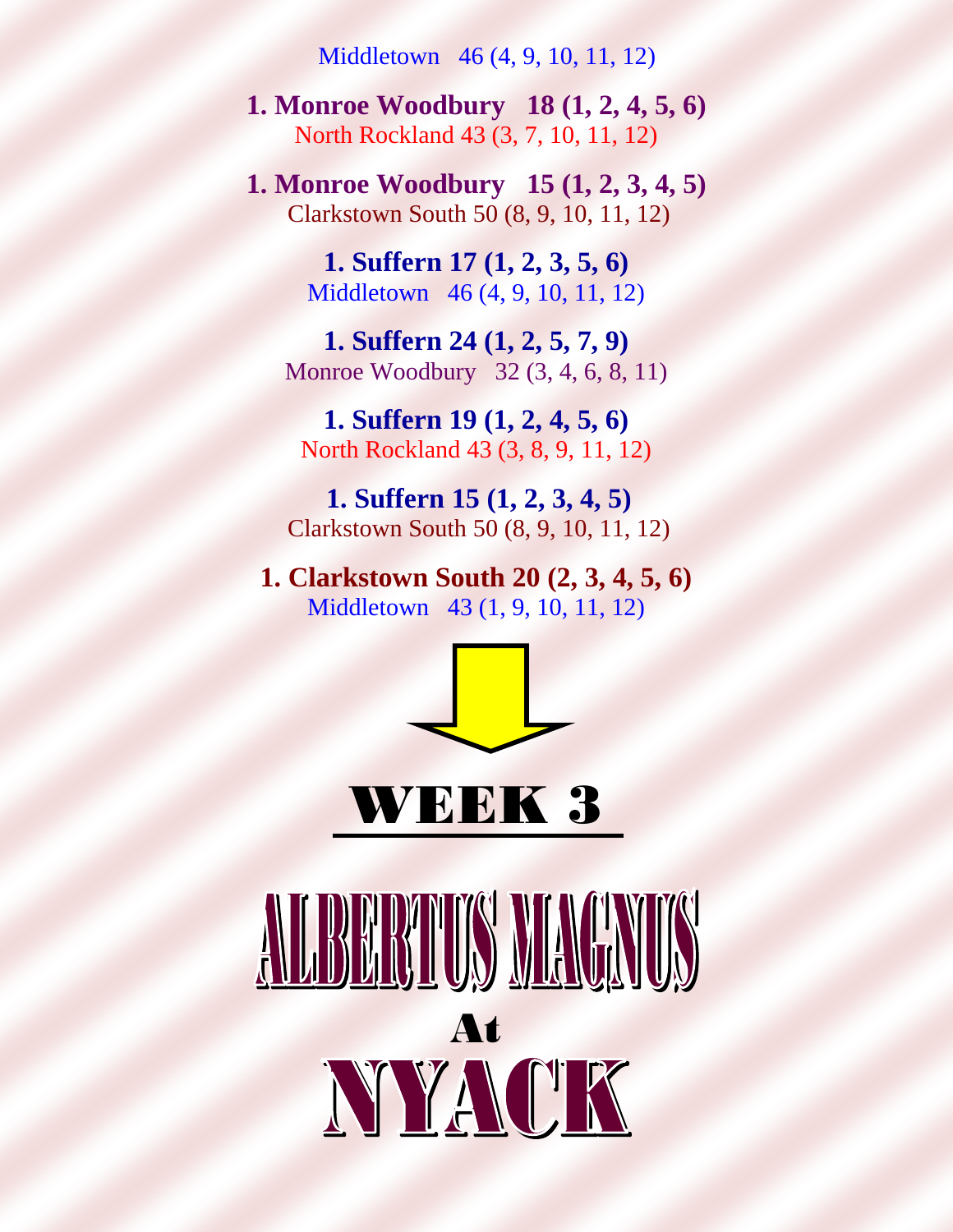Middletown 46 (4, 9, 10, 11, 12)

**1. Monroe Woodbury 18 (1, 2, 4, 5, 6)** North Rockland 43 (3, 7, 10, 11, 12)

**1. Monroe Woodbury 15 (1, 2, 3, 4, 5)** Clarkstown South 50 (8, 9, 10, 11, 12)

> **1. Suffern 17 (1, 2, 3, 5, 6)** Middletown 46 (4, 9, 10, 11, 12)

**1. Suffern 24 (1, 2, 5, 7, 9)** Monroe Woodbury 32 (3, 4, 6, 8, 11)

**1. Suffern 19 (1, 2, 4, 5, 6)** North Rockland 43 (3, 8, 9, 11, 12)

**1. Suffern 15 (1, 2, 3, 4, 5)** Clarkstown South 50 (8, 9, 10, 11, 12)

**1. Clarkstown South 20 (2, 3, 4, 5, 6)** Middletown 43 (1, 9, 10, 11, 12)



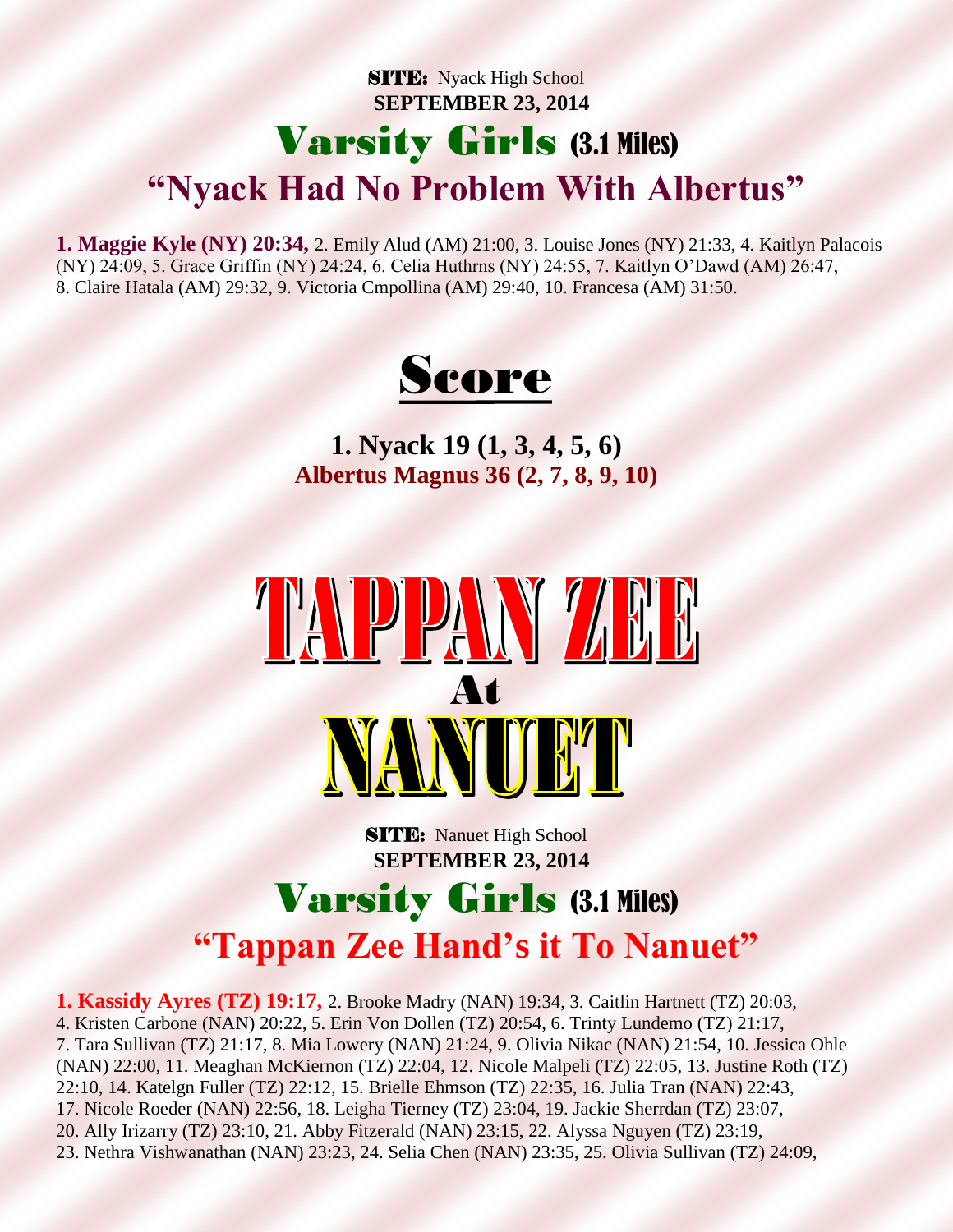#### **SITE:** Nyack High School  **SEPTEMBER 23, 2014** Varsity Girls (3.1 Miles) **"Nyack Had No Problem With Albertus"**

**1. Maggie Kyle (NY) 20:34,** 2. Emily Alud (AM) 21:00, 3. Louise Jones (NY) 21:33, 4. Kaitlyn Palacois (NY) 24:09, 5. Grace Griffin (NY) 24:24, 6. Celia Huthrns (NY) 24:55, 7. Kaitlyn O'Dawd (AM) 26:47, 8. Claire Hatala (AM) 29:32, 9. Victoria Cmpollina (AM) 29:40, 10. Francesa (AM) 31:50.



**1. Nyack 19 (1, 3, 4, 5, 6) Albertus Magnus 36 (2, 7, 8, 9, 10)**



**SITE:** Nanuet High School  **SEPTEMBER 23, 2014**

#### Varsity Girls (3.1 Miles) **"Tappan Zee Hand's it To Nanuet"**

**1. Kassidy Ayres (TZ) 19:17,** 2. Brooke Madry (NAN) 19:34, 3. Caitlin Hartnett (TZ) 20:03, 4. Kristen Carbone (NAN) 20:22, 5. Erin Von Dollen (TZ) 20:54, 6. Trinty Lundemo (TZ) 21:17, 7. Tara Sullivan (TZ) 21:17, 8. Mia Lowery (NAN) 21:24, 9. Olivia Nikac (NAN) 21:54, 10. Jessica Ohle (NAN) 22:00, 11. Meaghan McKiernon (TZ) 22:04, 12. Nicole Malpeli (TZ) 22:05, 13. Justine Roth (TZ) 22:10, 14. Katelgn Fuller (TZ) 22:12, 15. Brielle Ehmson (TZ) 22:35, 16. Julia Tran (NAN) 22:43, 17. Nicole Roeder (NAN) 22:56, 18. Leigha Tierney (TZ) 23:04, 19. Jackie Sherrdan (TZ) 23:07, 20. Ally Irizarry (TZ) 23:10, 21. Abby Fitzerald (NAN) 23:15, 22. Alyssa Nguyen (TZ) 23:19, 23. Nethra Vishwanathan (NAN) 23:23, 24. Selia Chen (NAN) 23:35, 25. Olivia Sullivan (TZ) 24:09,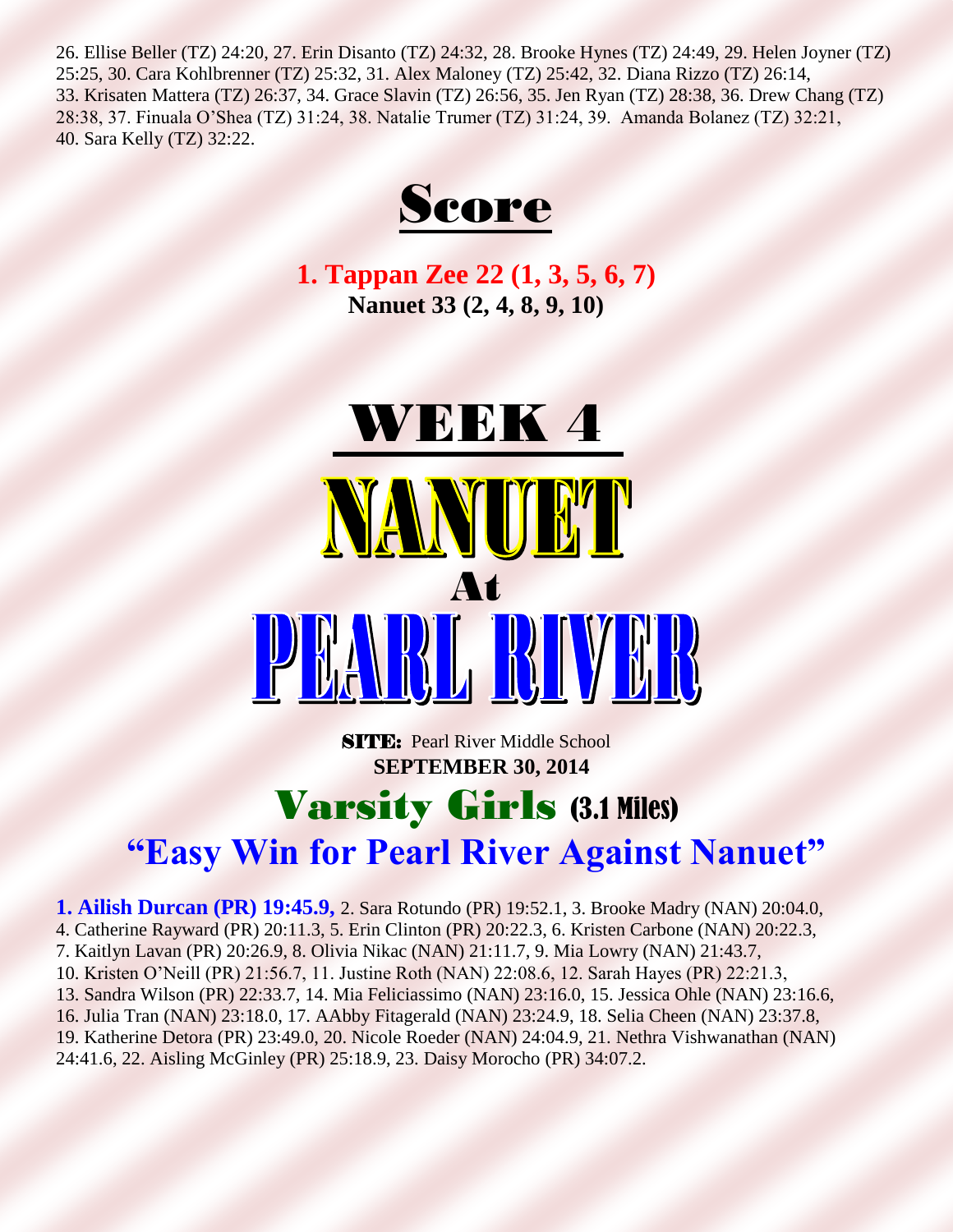26. Ellise Beller (TZ) 24:20, 27. Erin Disanto (TZ) 24:32, 28. Brooke Hynes (TZ) 24:49, 29. Helen Joyner (TZ) 25:25, 30. Cara Kohlbrenner (TZ) 25:32, 31. Alex Maloney (TZ) 25:42, 32. Diana Rizzo (TZ) 26:14, 33. Krisaten Mattera (TZ) 26:37, 34. Grace Slavin (TZ) 26:56, 35. Jen Ryan (TZ) 28:38, 36. Drew Chang (TZ) 28:38, 37. Finuala O'Shea (TZ) 31:24, 38. Natalie Trumer (TZ) 31:24, 39. Amanda Bolanez (TZ) 32:21, 40. Sara Kelly (TZ) 32:22.



**1. Tappan Zee 22 (1, 3, 5, 6, 7) Nanuet 33 (2, 4, 8, 9, 10)**



**SITE:** Pearl River Middle School  **SEPTEMBER 30, 2014**

#### Varsity Girls (3.1 Miles) **"Easy Win for Pearl River Against Nanuet"**

**1. Ailish Durcan (PR) 19:45.9,** 2. Sara Rotundo (PR) 19:52.1, 3. Brooke Madry (NAN) 20:04.0, 4. Catherine Rayward (PR) 20:11.3, 5. Erin Clinton (PR) 20:22.3, 6. Kristen Carbone (NAN) 20:22.3, 7. Kaitlyn Lavan (PR) 20:26.9, 8. Olivia Nikac (NAN) 21:11.7, 9. Mia Lowry (NAN) 21:43.7, 10. Kristen O'Neill (PR) 21:56.7, 11. Justine Roth (NAN) 22:08.6, 12. Sarah Hayes (PR) 22:21.3, 13. Sandra Wilson (PR) 22:33.7, 14. Mia Feliciassimo (NAN) 23:16.0, 15. Jessica Ohle (NAN) 23:16.6, 16. Julia Tran (NAN) 23:18.0, 17. AAbby Fitagerald (NAN) 23:24.9, 18. Selia Cheen (NAN) 23:37.8, 19. Katherine Detora (PR) 23:49.0, 20. Nicole Roeder (NAN) 24:04.9, 21. Nethra Vishwanathan (NAN) 24:41.6, 22. Aisling McGinley (PR) 25:18.9, 23. Daisy Morocho (PR) 34:07.2.